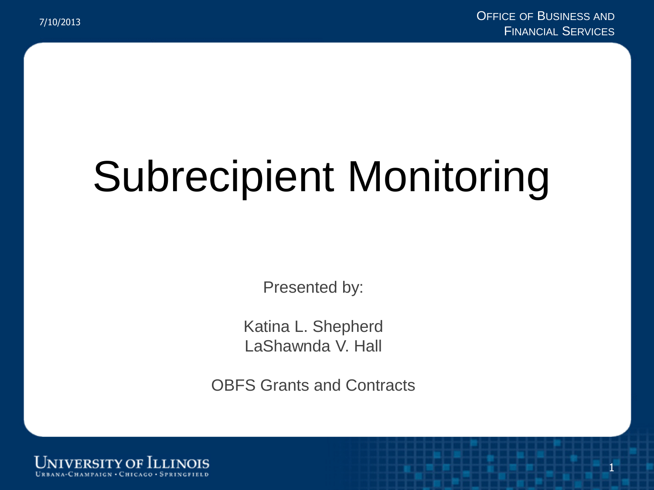# Subrecipient Monitoring

Presented by:

Katina L. Shepherd LaShawnda V. Hall

OBFS Grants and Contracts

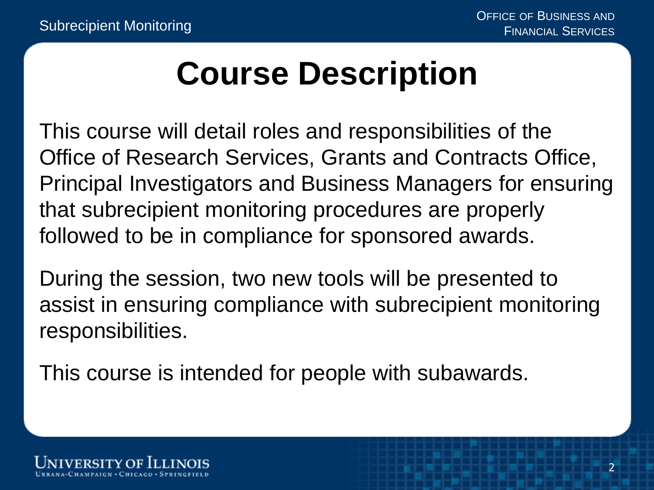### **Course Description**

This course will detail roles and responsibilities of the Office of Research Services, Grants and Contracts Office, Principal Investigators and Business Managers for ensuring that subrecipient monitoring procedures are properly followed to be in compliance for sponsored awards.

During the session, two new tools will be presented to assist in ensuring compliance with subrecipient monitoring responsibilities.

This course is intended for people with subawards.

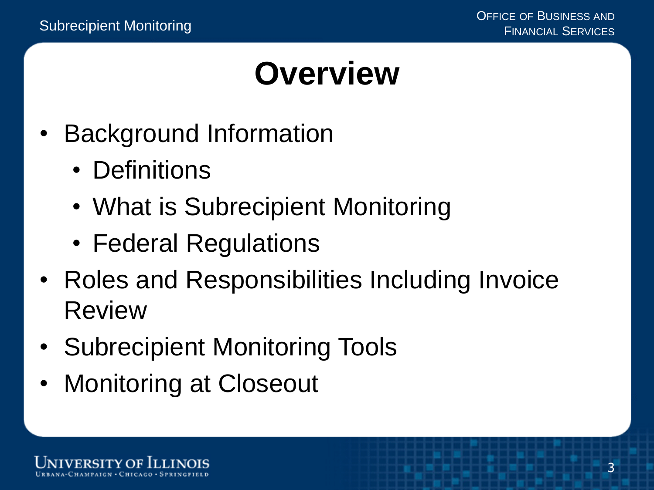#### **Overview**

- Background Information
	- Definitions
	- What is Subrecipient Monitoring
	- Federal Regulations
- Roles and Responsibilities Including Invoice Review
- Subrecipient Monitoring Tools
- Monitoring at Closeout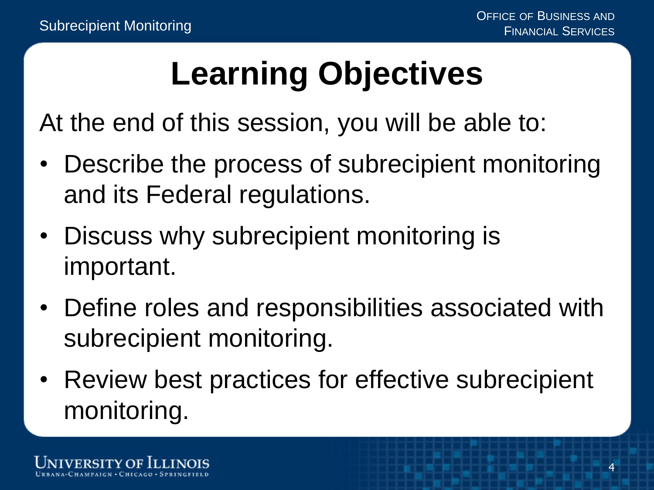## **Learning Objectives**

At the end of this session, you will be able to:

- Describe the process of subrecipient monitoring and its Federal regulations.
- Discuss why subrecipient monitoring is important.
- Define roles and responsibilities associated with subrecipient monitoring.
- Review best practices for effective subrecipient monitoring.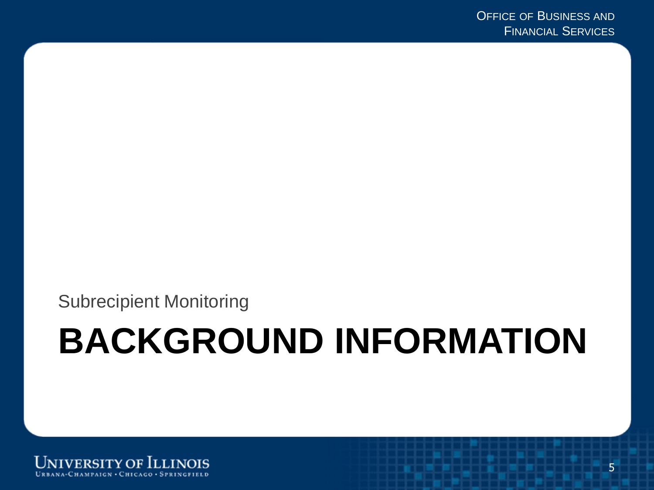Subrecipient Monitoring

# **BACKGROUND INFORMATION**

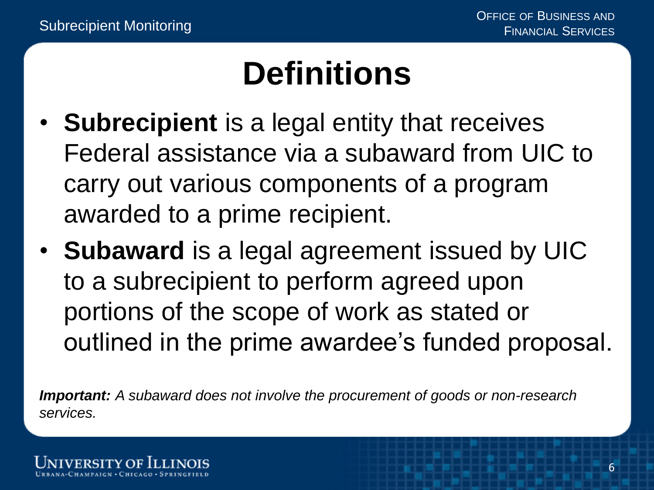#### **Definitions**

- **Subrecipient** is a legal entity that receives Federal assistance via a subaward from UIC to carry out various components of a program awarded to a prime recipient.
- **Subaward** is a legal agreement issued by UIC to a subrecipient to perform agreed upon portions of the scope of work as stated or outlined in the prime awardee's funded proposal.

*Important: A subaward does not involve the procurement of goods or non-research services.*

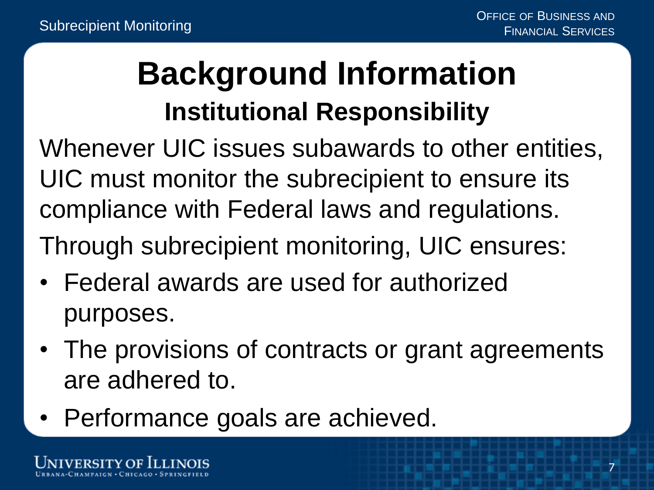#### **Background Information Institutional Responsibility**

Whenever UIC issues subawards to other entities, UIC must monitor the subrecipient to ensure its compliance with Federal laws and regulations. Through subrecipient monitoring, UIC ensures:

- Federal awards are used for authorized purposes.
- The provisions of contracts or grant agreements are adhered to.
- Performance goals are achieved.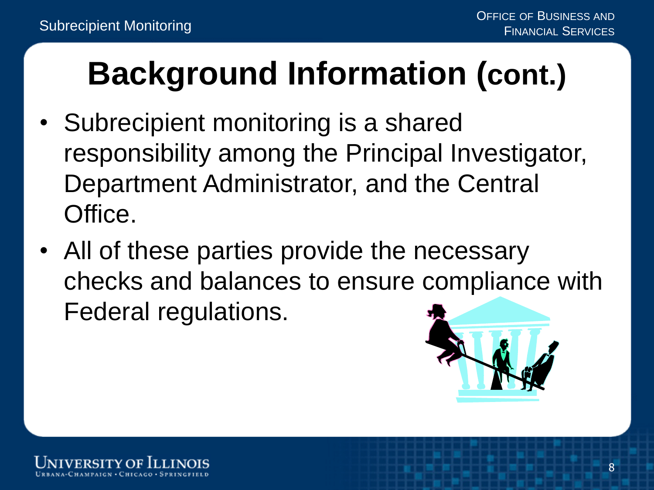## **Background Information (cont.)**

- Subrecipient monitoring is a shared responsibility among the Principal Investigator, Department Administrator, and the Central Office.
- All of these parties provide the necessary checks and balances to ensure compliance with Federal regulations.



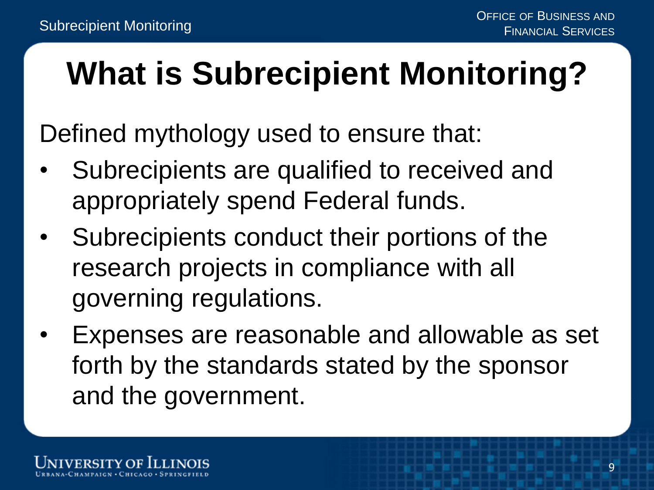## **What is Subrecipient Monitoring?**

Defined mythology used to ensure that:

- Subrecipients are qualified to received and appropriately spend Federal funds.
- Subrecipients conduct their portions of the research projects in compliance with all governing regulations.
- Expenses are reasonable and allowable as set forth by the standards stated by the sponsor and the government.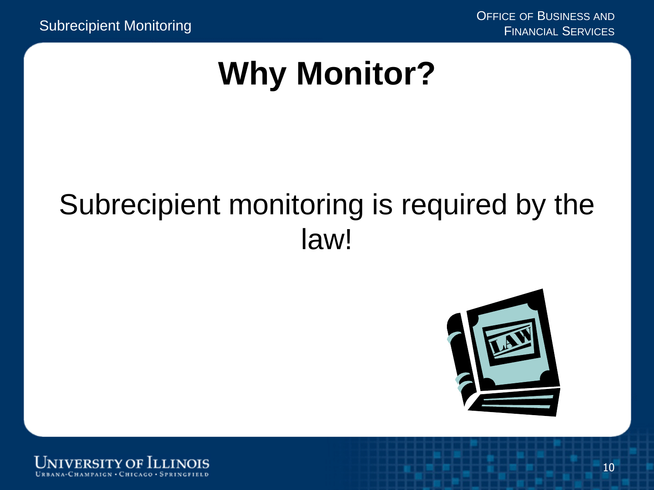#### **Why Monitor?**

#### Subrecipient monitoring is required by the law!



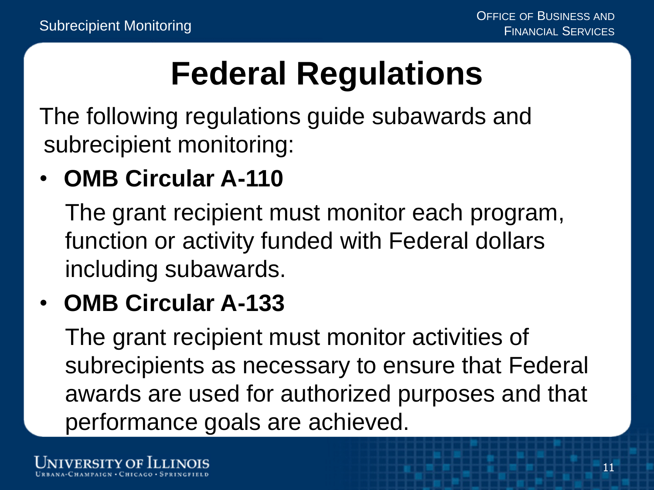## **Federal Regulations**

The following regulations guide subawards and subrecipient monitoring:

#### • **OMB Circular A-110**

The grant recipient must monitor each program, function or activity funded with Federal dollars including subawards.

#### • **OMB Circular A-133**

The grant recipient must monitor activities of subrecipients as necessary to ensure that Federal awards are used for authorized purposes and that performance goals are achieved.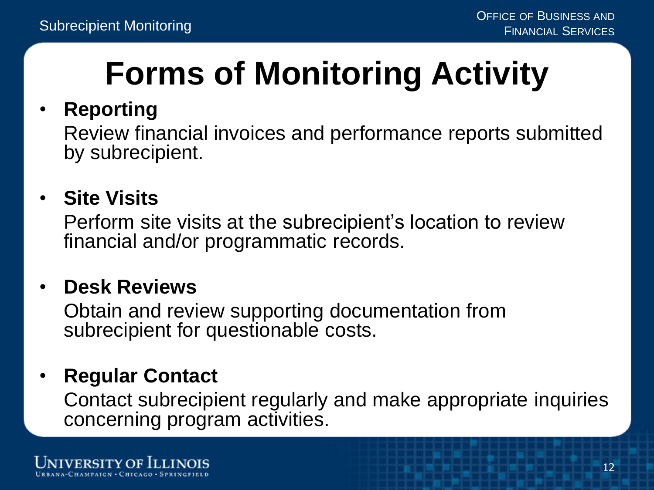## **Forms of Monitoring Activity**

#### • **Reporting**

Review financial invoices and performance reports submitted by subrecipient.

#### • **Site Visits**

Perform site visits at the subrecipient's location to review financial and/or programmatic records.

#### • **Desk Reviews**

Obtain and review supporting documentation from subrecipient for questionable costs.

#### • **Regular Contact**

Contact subrecipient regularly and make appropriate inquiries concerning program activities.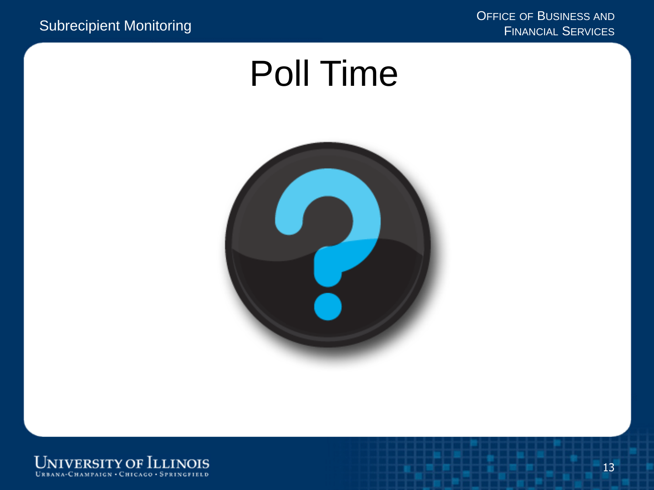### Poll Time



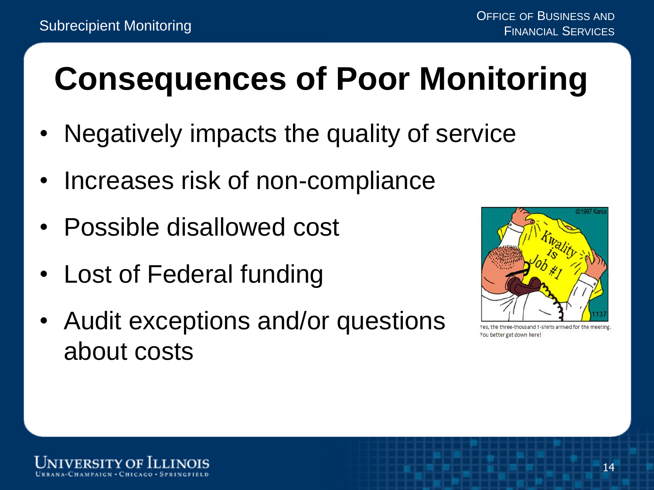### **Consequences of Poor Monitoring**

- Negatively impacts the quality of service
- Increases risk of non-compliance
- Possible disallowed cost
- Lost of Federal funding
- Audit exceptions and/or questions about costs



Yes, the three-thousand T-shirts arrived for the meeting You better get down here!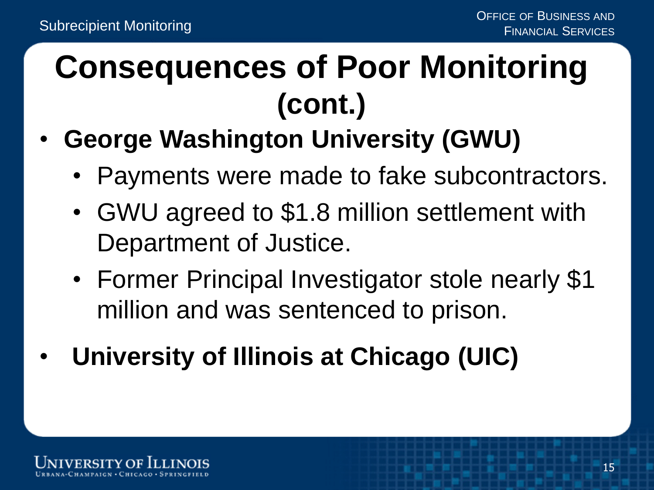#### **Consequences of Poor Monitoring (cont.)**

- **George Washington University (GWU)**
	- Payments were made to fake subcontractors.
	- GWU agreed to \$1.8 million settlement with Department of Justice.
	- Former Principal Investigator stole nearly \$1 million and was sentenced to prison.
- **University of Illinois at Chicago (UIC)**

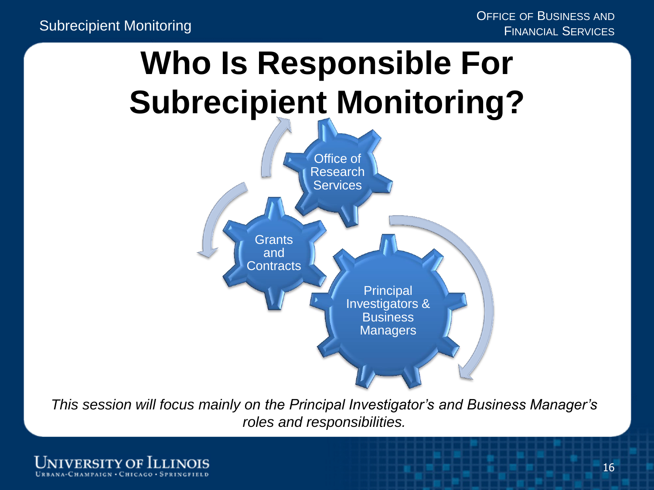## **Who Is Responsible For Subrecipient Monitoring?**



*This session will focus mainly on the Principal Investigator's and Business Manager's roles and responsibilities.*

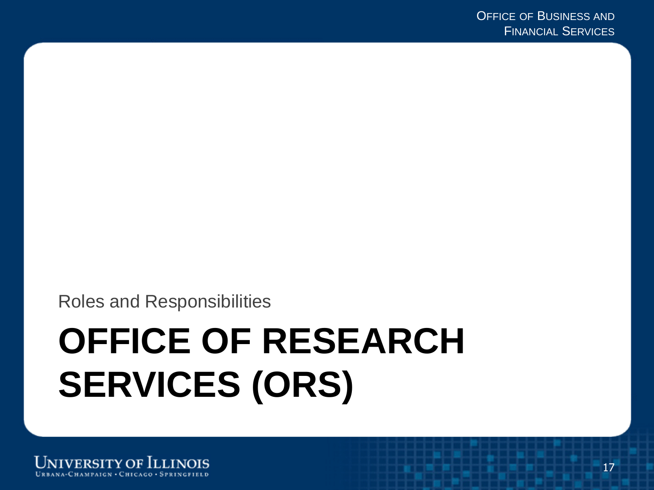Roles and Responsibilities

# **OFFICE OF RESEARCH SERVICES (ORS)**

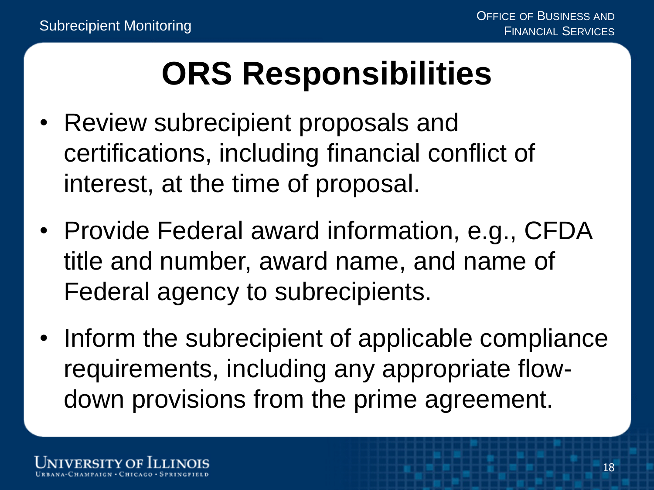## **ORS Responsibilities**

- Review subrecipient proposals and certifications, including financial conflict of interest, at the time of proposal.
- Provide Federal award information, e.g., CFDA title and number, award name, and name of Federal agency to subrecipients.
- Inform the subrecipient of applicable compliance requirements, including any appropriate flowdown provisions from the prime agreement.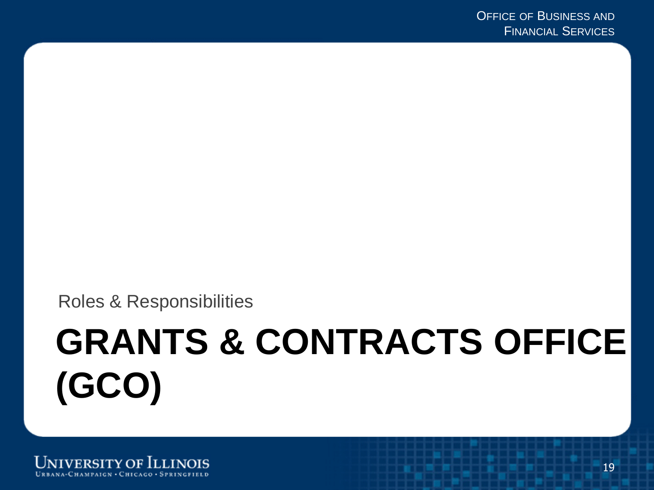Roles & Responsibilities

# **GRANTS & CONTRACTS OFFICE (GCO)**

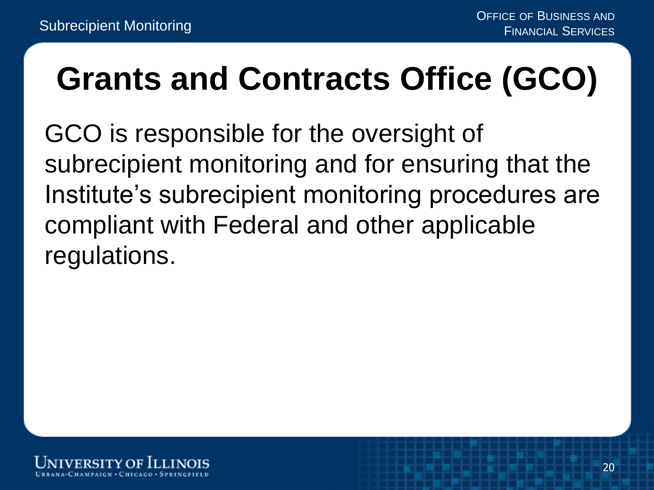#### **Grants and Contracts Office (GCO)**

GCO is responsible for the oversight of subrecipient monitoring and for ensuring that the Institute's subrecipient monitoring procedures are compliant with Federal and other applicable regulations.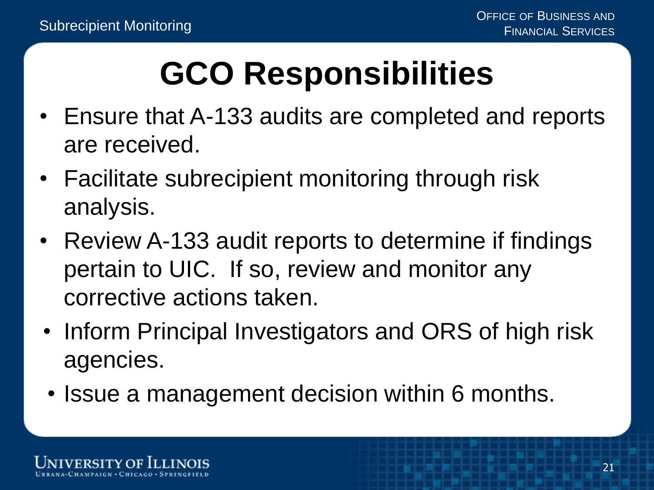## **GCO Responsibilities**

- Ensure that A-133 audits are completed and reports are received.
- Facilitate subrecipient monitoring through risk analysis.
- Review A-133 audit reports to determine if findings pertain to UIC. If so, review and monitor any corrective actions taken.
- Inform Principal Investigators and ORS of high risk agencies.
- Issue a management decision within 6 months.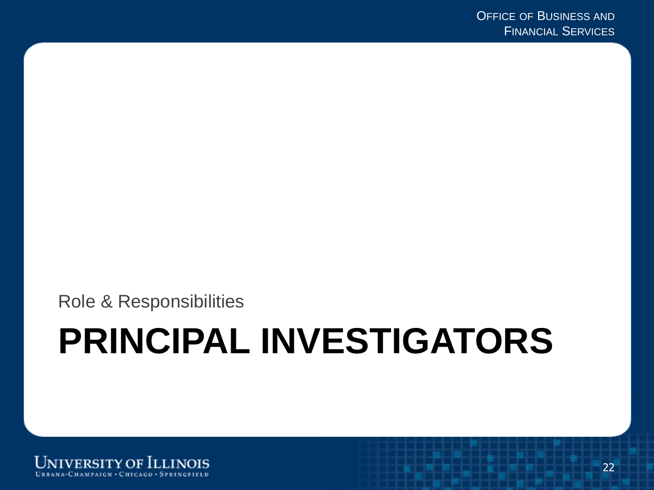Role & Responsibilities

# **PRINCIPAL INVESTIGATORS**

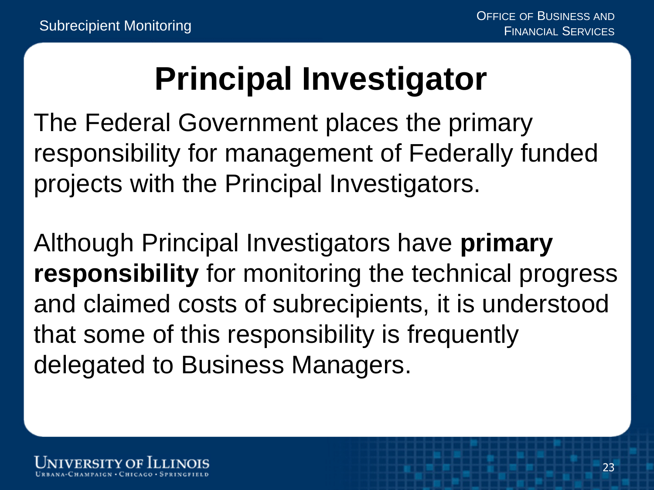#### **Principal Investigator**

The Federal Government places the primary responsibility for management of Federally funded projects with the Principal Investigators.

Although Principal Investigators have **primary responsibility** for monitoring the technical progress and claimed costs of subrecipients, it is understood that some of this responsibility is frequently delegated to Business Managers.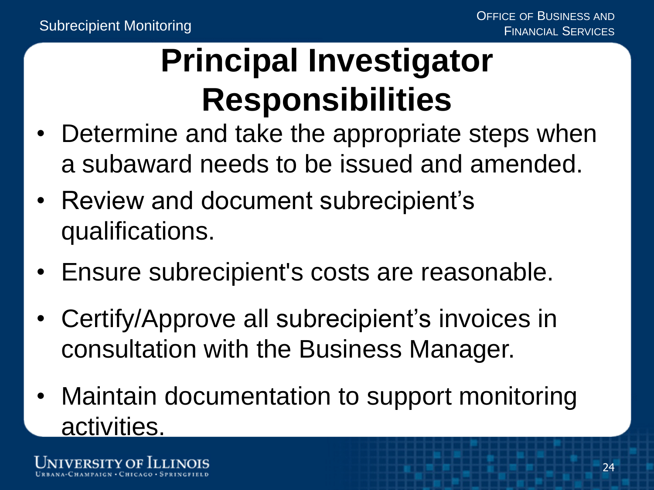### **Principal Investigator Responsibilities**

- Determine and take the appropriate steps when a subaward needs to be issued and amended.
- Review and document subrecipient's qualifications.
- Ensure subrecipient's costs are reasonable.
- Certify/Approve all subrecipient's invoices in consultation with the Business Manager.
- Maintain documentation to support monitoring activities.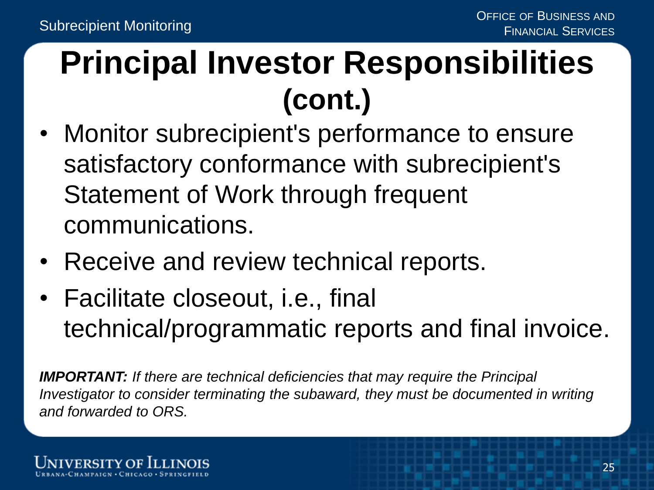#### **Principal Investor Responsibilities (cont.)**

- Monitor subrecipient's performance to ensure satisfactory conformance with subrecipient's Statement of Work through frequent communications.
- Receive and review technical reports.
- Facilitate closeout, i.e., final technical/programmatic reports and final invoice.

*IMPORTANT: If there are technical deficiencies that may require the Principal Investigator to consider terminating the subaward, they must be documented in writing and forwarded to ORS.*

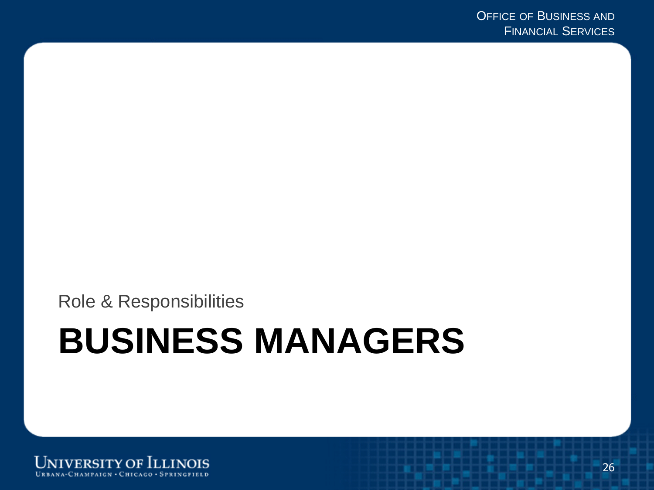Role & Responsibilities

## **BUSINESS MANAGERS**

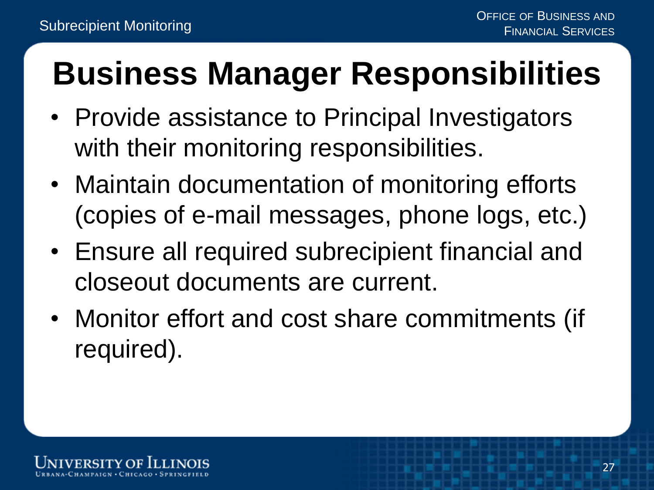## **Business Manager Responsibilities**

- Provide assistance to Principal Investigators with their monitoring responsibilities.
- Maintain documentation of monitoring efforts (copies of e-mail messages, phone logs, etc.)
- Ensure all required subrecipient financial and closeout documents are current.
- Monitor effort and cost share commitments (if required).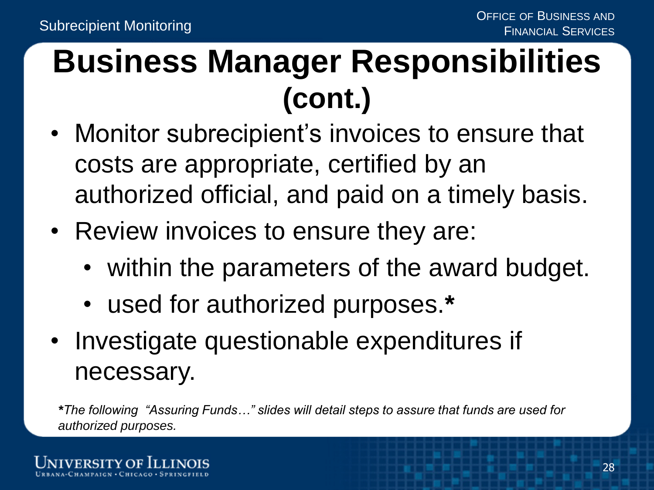#### **Business Manager Responsibilities (cont.)**

- Monitor subrecipient's invoices to ensure that costs are appropriate, certified by an authorized official, and paid on a timely basis.
- Review invoices to ensure they are:
	- within the parameters of the award budget.
	- used for authorized purposes.**\***
- Investigate questionable expenditures if necessary.

*\*The following "Assuring Funds…" slides will detail steps to assure that funds are used for authorized purposes.*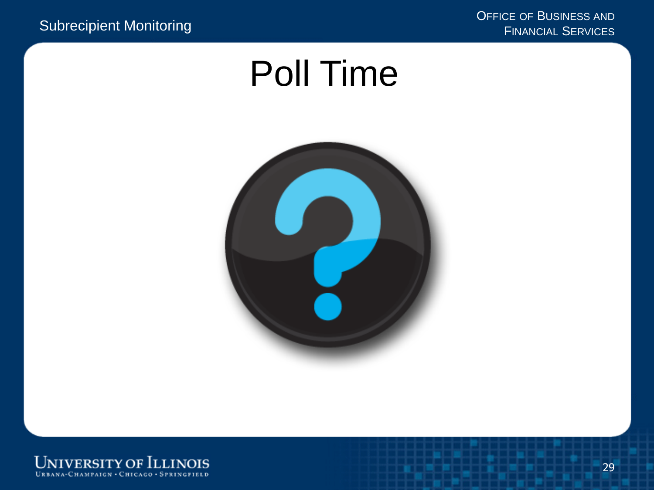### Poll Time



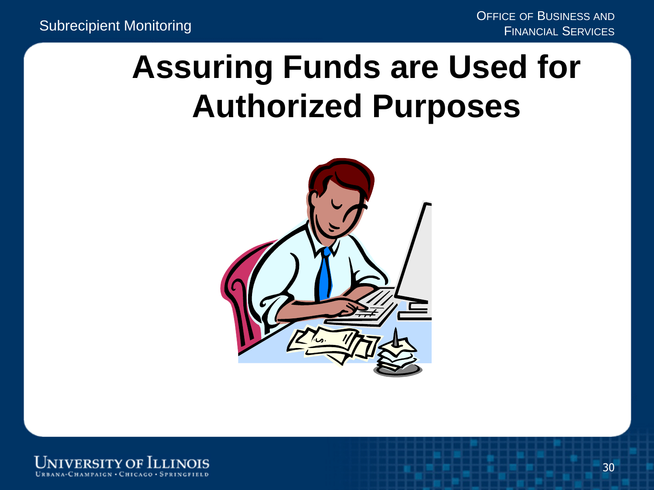#### **Assuring Funds are Used for Authorized Purposes**



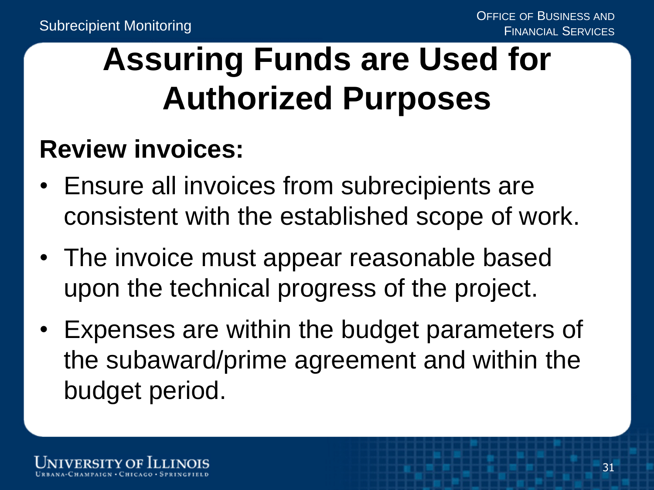#### **Assuring Funds are Used for Authorized Purposes**

#### **Review invoices:**

- Ensure all invoices from subrecipients are consistent with the established scope of work.
- The invoice must appear reasonable based upon the technical progress of the project.
- Expenses are within the budget parameters of the subaward/prime agreement and within the budget period.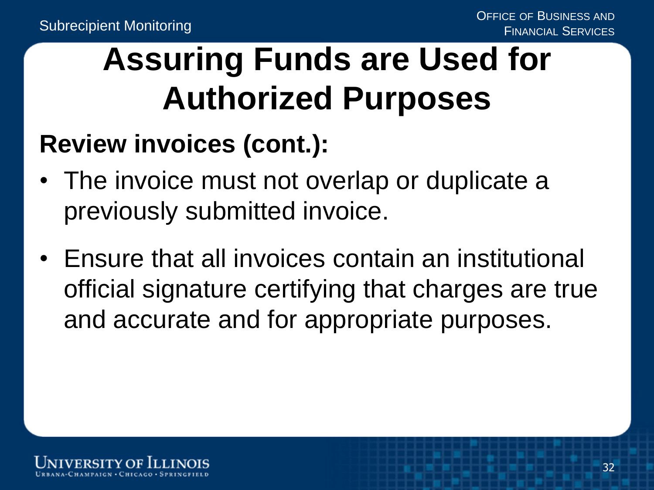#### **Assuring Funds are Used for Authorized Purposes**

#### **Review invoices (cont.):**

- The invoice must not overlap or duplicate a previously submitted invoice.
- Ensure that all invoices contain an institutional official signature certifying that charges are true and accurate and for appropriate purposes.

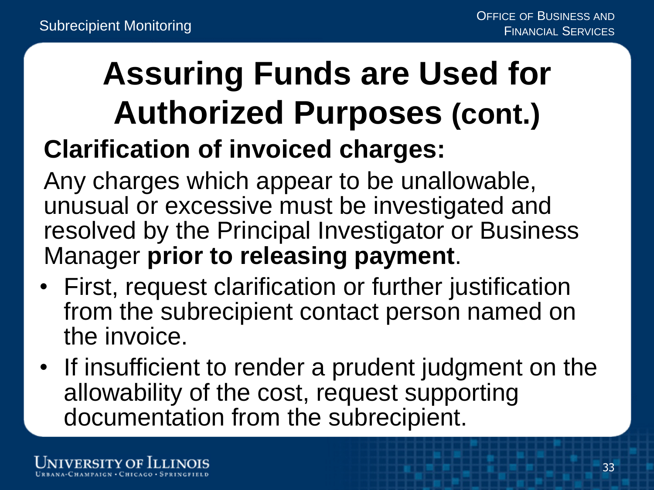#### **Assuring Funds are Used for Authorized Purposes (cont.) Clarification of invoiced charges:**

Any charges which appear to be unallowable, unusual or excessive must be investigated and resolved by the Principal Investigator or Business Manager **prior to releasing payment**.

- First, request clarification or further justification from the subrecipient contact person named on the invoice.
- If insufficient to render a prudent judgment on the allowability of the cost, request supporting documentation from the subrecipient.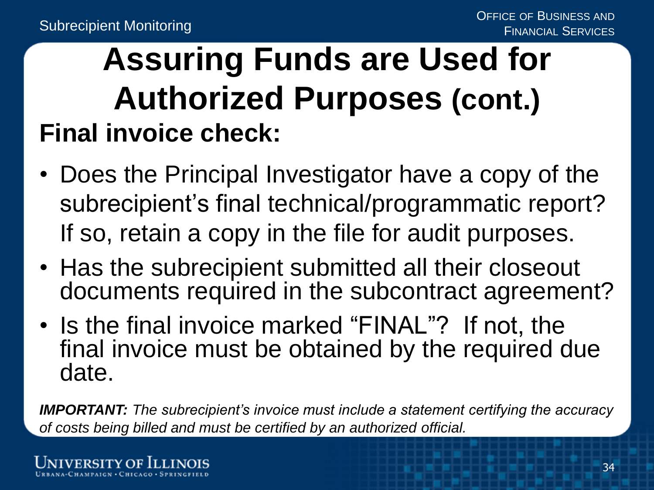#### **Assuring Funds are Used for Authorized Purposes (cont.) Final invoice check:**

- Does the Principal Investigator have a copy of the subrecipient's final technical/programmatic report? If so, retain a copy in the file for audit purposes.
- Has the subrecipient submitted all their closeout documents required in the subcontract agreement?
- Is the final invoice marked "FINAL"? If not, the final invoice must be obtained by the required due date.

*IMPORTANT: The subrecipient's invoice must include a statement certifying the accuracy of costs being billed and must be certified by an authorized official.*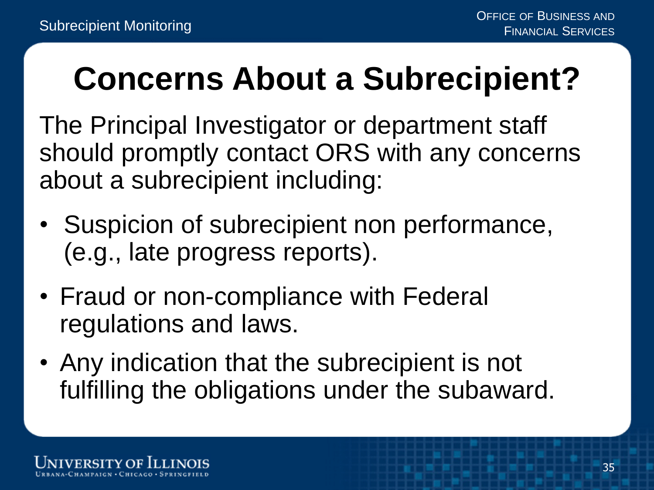#### **Concerns About a Subrecipient?**

The Principal Investigator or department staff should promptly contact ORS with any concerns about a subrecipient including:

- Suspicion of subrecipient non performance, (e.g., late progress reports).
- Fraud or non-compliance with Federal regulations and laws.
- Any indication that the subrecipient is not fulfilling the obligations under the subaward.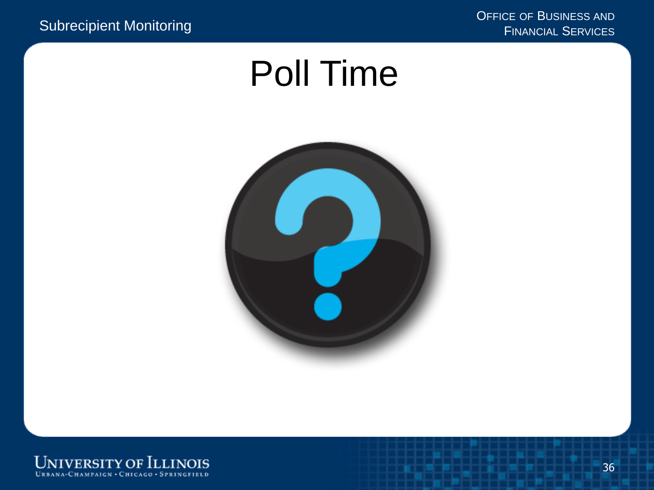### Poll Time



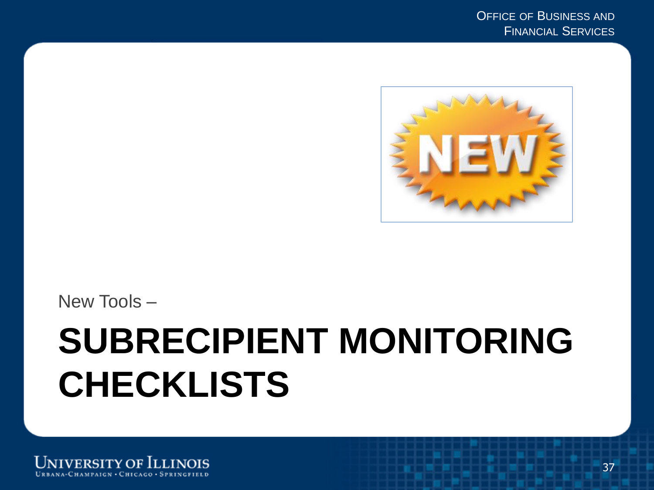

New Tools –

## **SUBRECIPIENT MONITORING CHECKLISTS**

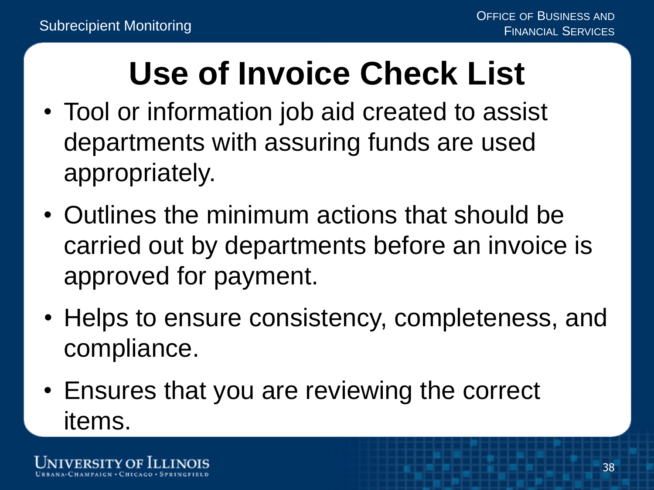### **Use of Invoice Check List**

- Tool or information job aid created to assist departments with assuring funds are used appropriately.
- Outlines the minimum actions that should be carried out by departments before an invoice is approved for payment.
- Helps to ensure consistency, completeness, and compliance.
- Ensures that you are reviewing the correct items.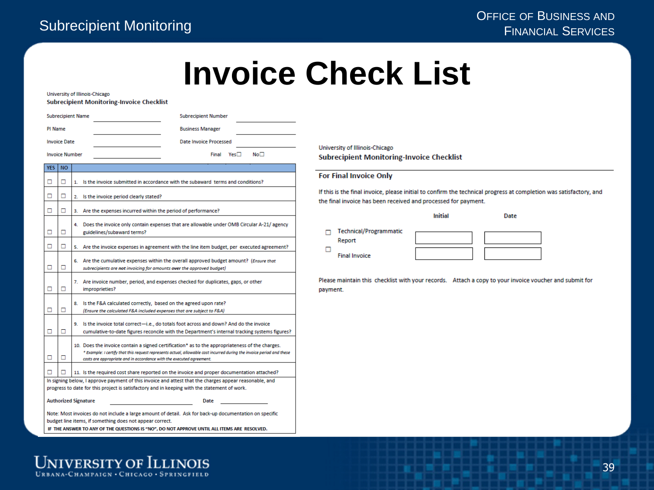#### **Invoice Check List**

University of Illinois-Chicago

**Subrecipient Monitoring-Invoice Checklist** 

|                                                                                                                                                                  |                                     | <b>Subrecipient Name</b><br><b>Subrecipient Number</b>                                                                                                                                                                                                                                          |  |  |  |
|------------------------------------------------------------------------------------------------------------------------------------------------------------------|-------------------------------------|-------------------------------------------------------------------------------------------------------------------------------------------------------------------------------------------------------------------------------------------------------------------------------------------------|--|--|--|
| PI Name                                                                                                                                                          |                                     | <b>Business Manager</b>                                                                                                                                                                                                                                                                         |  |  |  |
| <b>Invoice Date</b><br><b>Date Invoice Processed</b>                                                                                                             |                                     |                                                                                                                                                                                                                                                                                                 |  |  |  |
| <b>Invoice Number</b><br>Yes□<br>No⊡<br>Final                                                                                                                    |                                     |                                                                                                                                                                                                                                                                                                 |  |  |  |
| <b>YES</b>                                                                                                                                                       | <b>NO</b>                           |                                                                                                                                                                                                                                                                                                 |  |  |  |
| □                                                                                                                                                                | □                                   | Is the invoice submitted in accordance with the subaward terms and conditions?                                                                                                                                                                                                                  |  |  |  |
| □                                                                                                                                                                | □                                   | Is the invoice period clearly stated?<br>2.                                                                                                                                                                                                                                                     |  |  |  |
| □                                                                                                                                                                | □                                   | Are the expenses incurred within the period of performance?<br>з.                                                                                                                                                                                                                               |  |  |  |
| □                                                                                                                                                                | □                                   | 4. Does the invoice only contain expenses that are allowable under OMB Circular A-21/ agency<br>guidelines/subaward terms?                                                                                                                                                                      |  |  |  |
| □                                                                                                                                                                | □                                   | Are the invoice expenses in agreement with the line item budget, per executed agreement?<br>5.                                                                                                                                                                                                  |  |  |  |
| ◻                                                                                                                                                                | о                                   | 6. Are the cumulative expenses within the overall approved budget amount? (Ensure that<br>subrecipients are not invoicing for amounts over the approved budget)                                                                                                                                 |  |  |  |
| о                                                                                                                                                                | □                                   | 7. Are invoice number, period, and expenses checked for duplicates, gaps, or other<br>improprieties?                                                                                                                                                                                            |  |  |  |
| □                                                                                                                                                                | о                                   | Is the F&A calculated correctly, based on the agreed upon rate?<br>8.<br>(Ensure the calculated F&A included expenses that are subject to F&A)                                                                                                                                                  |  |  |  |
| □                                                                                                                                                                | о                                   | 9. Is the invoice total correct-i.e., do totals foot across and down? And do the invoice<br>cumulative-to-date figures reconcile with the Department's internal tracking systems figures?                                                                                                       |  |  |  |
| □                                                                                                                                                                | □                                   | 10. Does the invoice contain a signed certification* as to the appropriateness of the charges.<br>* Example: I certify that this request represents actual, allowable cost incurred during the invoice period and these<br>costs are appropriate and in accordance with the executed agreement. |  |  |  |
| □                                                                                                                                                                | п                                   | 11. Is the required cost share reported on the invoice and proper documentation attached?                                                                                                                                                                                                       |  |  |  |
|                                                                                                                                                                  |                                     | In signing below, I approve payment of this invoice and attest that the charges appear reasonable, and<br>progress to date for this project is satisfactory and in keeping with the statement of work.                                                                                          |  |  |  |
|                                                                                                                                                                  | <b>Authorized Signature</b><br>Date |                                                                                                                                                                                                                                                                                                 |  |  |  |
| Note: Most invoices do not include a large amount of detail. Ask for back-up documentation on specific<br>budget line items if something does not annear correct |                                     |                                                                                                                                                                                                                                                                                                 |  |  |  |

IF THE ANSWER TO ANY OF THE QUESTIONS IS "NO", DO NOT APPROVE UNTIL ALL ITEMS ARE RESOLVED.

University of Illinois-Chicago **Subrecipient Monitoring-Invoice Checklist** 

#### **For Final Invoice Only**

If this is the final invoice, please initial to confirm the technical progress at completion was satisfactory, and the final invoice has been received and processed for payment.

|                                  | Initial | Date |
|----------------------------------|---------|------|
| Technical/Programmatic<br>Report |         |      |
| <b>Final Invoice</b>             |         |      |

Please maintain this checklist with your records. Attach a copy to your invoice voucher and submit for payment.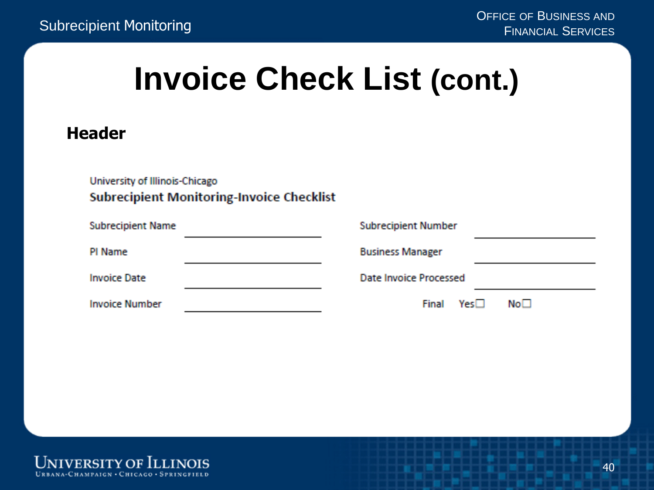#### **Invoice Check List (cont.)**

#### **Header**

| University of Illinois-Chicago<br><b>Subrecipient Monitoring-Invoice Checklist</b> |  |                               |                 |  |  |
|------------------------------------------------------------------------------------|--|-------------------------------|-----------------|--|--|
| <b>Subrecipient Name</b>                                                           |  | <b>Subrecipient Number</b>    |                 |  |  |
| PI Name                                                                            |  | <b>Business Manager</b>       |                 |  |  |
| <b>Invoice Date</b>                                                                |  | <b>Date Invoice Processed</b> |                 |  |  |
| <b>Invoice Number</b>                                                              |  | Yes□<br>Final                 | No <sub>1</sub> |  |  |

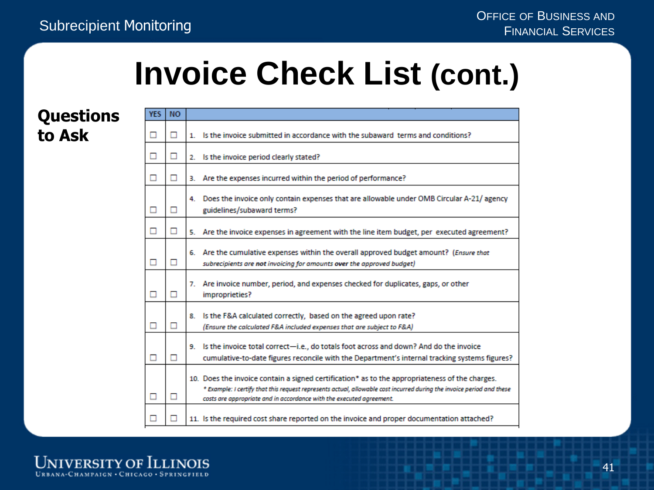VEC NO

#### **Invoice Check List (cont.)**

#### **Questions to Ask**

| ◻ | □ | 1. Is the invoice submitted in accordance with the subaward terms and conditions?                                                                                                                                                                                                               |
|---|---|-------------------------------------------------------------------------------------------------------------------------------------------------------------------------------------------------------------------------------------------------------------------------------------------------|
| ◻ | ◻ | 2. Is the invoice period clearly stated?                                                                                                                                                                                                                                                        |
| □ | ◻ | 3. Are the expenses incurred within the period of performance?                                                                                                                                                                                                                                  |
| ◻ | □ | 4. Does the invoice only contain expenses that are allowable under OMB Circular A-21/ agency<br>guidelines/subaward terms?                                                                                                                                                                      |
| ◻ | ◻ | 5. Are the invoice expenses in agreement with the line item budget, per executed agreement?                                                                                                                                                                                                     |
|   | п | 6. Are the cumulative expenses within the overall approved budget amount? (Ensure that<br>subrecipients are not invoicing for amounts over the approved budget)                                                                                                                                 |
|   | ◻ | 7. Are invoice number, period, and expenses checked for duplicates, gaps, or other<br>improprieties?                                                                                                                                                                                            |
|   | □ | Is the F&A calculated correctly, based on the agreed upon rate?<br>8.<br>(Ensure the calculated F&A included expenses that are subject to F&A)                                                                                                                                                  |
| □ | □ | 9. Is the invoice total correct-i.e., do totals foot across and down? And do the invoice<br>cumulative-to-date figures reconcile with the Department's internal tracking systems figures?                                                                                                       |
|   | ◻ | 10. Does the invoice contain a signed certification* as to the appropriateness of the charges.<br>* Example: I certify that this request represents actual, allowable cost incurred during the invoice period and these<br>costs are appropriate and in accordance with the executed agreement. |
|   | □ | 11. Is the required cost share reported on the invoice and proper documentation attached?                                                                                                                                                                                                       |

**UNIVERSITY OF ILLINOIS** URBANA-CHAMPAIGN · CHICAGO · SPRINGFIELD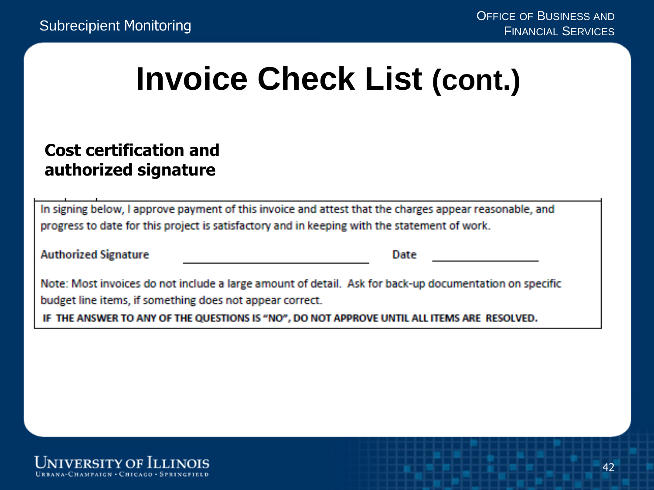#### **Invoice Check List (cont.)**

#### **Cost certification and authorized signature**

In signing below, I approve payment of this invoice and attest that the charges appear reasonable, and progress to date for this project is satisfactory and in keeping with the statement of work.

Date

Note: Most invoices do not include a large amount of detail. Ask for back-up documentation on specific budget line items, if something does not appear correct.

IF THE ANSWER TO ANY OF THE QUESTIONS IS "NO". DO NOT APPROVE UNTIL ALL ITEMS ARE RESOLVED.

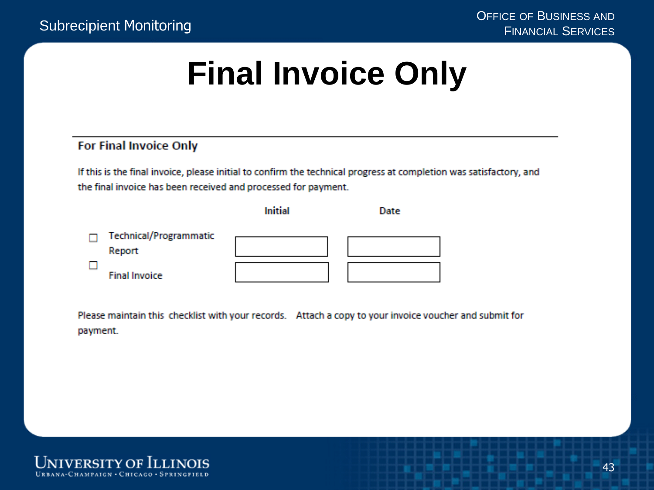#### **Final Invoice Only**

#### **For Final Invoice Only**

If this is the final invoice, please initial to confirm the technical progress at completion was satisfactory, and the final invoice has been received and processed for payment.

|                                  | <b>Initial</b> | Date |
|----------------------------------|----------------|------|
| Technical/Programmatic<br>Report |                |      |
| <b>Final Invoice</b>             |                |      |

Please maintain this checklist with your records. Attach a copy to your invoice voucher and submit for payment.

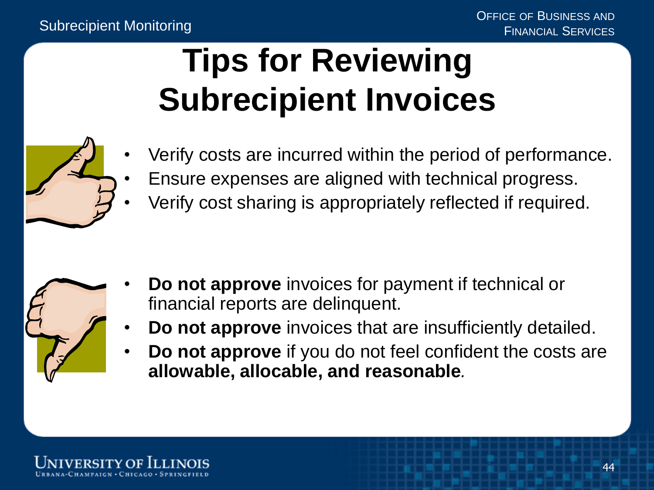#### **Tips for Reviewing Subrecipient Invoices**



- Verify costs are incurred within the period of performance.
- Ensure expenses are aligned with technical progress.
- Verify cost sharing is appropriately reflected if required.



- **Do not approve** invoices for payment if technical or financial reports are delinquent.
- **Do not approve** invoices that are insufficiently detailed.
- **Do not approve** if you do not feel confident the costs are **allowable, allocable, and reasonable***.*

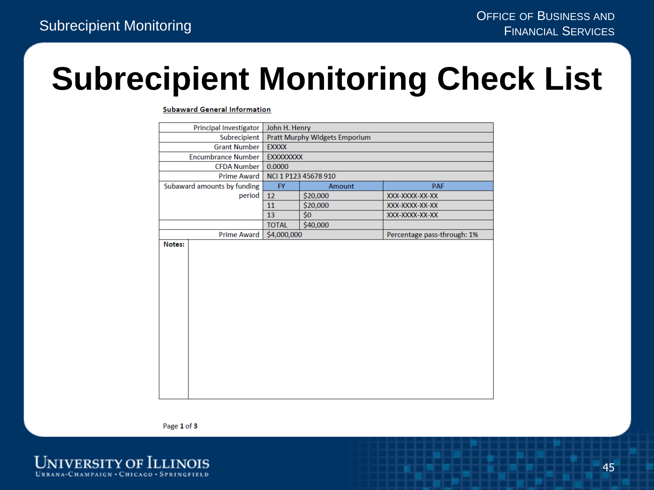#### **Subrecipient Monitoring Check List**

**Subaward General Information** 

| Principal Investigator |                             | John H. Henry                 |                      |                             |
|------------------------|-----------------------------|-------------------------------|----------------------|-----------------------------|
|                        | Subrecipient                | Pratt Murphy Widgets Emporium |                      |                             |
|                        | <b>Grant Number</b>         | <b>EXXXX</b>                  |                      |                             |
|                        | <b>Encumbrance Number</b>   | <b>EXXXXXXXX</b>              |                      |                             |
|                        | <b>CFDA Number</b>          | 0.0000                        |                      |                             |
|                        | Prime Award                 |                               | NCI 1 P123 45678 910 |                             |
|                        | Subaward amounts by funding | <b>FY</b>                     | Amount               | <b>PAF</b>                  |
|                        | period                      | 12                            | \$20,000             | XXX-XXXX-XX-XX              |
|                        |                             | 11                            | \$20,000             | XXX-XXXX-XX-XX              |
|                        |                             | 13                            | \$0                  | XXX-XXXX-XX-XX              |
|                        |                             | <b>TOTAL</b>                  | \$40,000             |                             |
|                        | <b>Prime Award</b>          | \$4,000,000                   |                      | Percentage pass-through: 1% |
| Notes:                 |                             |                               |                      |                             |
|                        |                             |                               |                      |                             |
|                        |                             |                               |                      |                             |
|                        |                             |                               |                      |                             |
|                        |                             |                               |                      |                             |
|                        |                             |                               |                      |                             |
|                        |                             |                               |                      |                             |
|                        |                             |                               |                      |                             |
|                        |                             |                               |                      |                             |
|                        |                             |                               |                      |                             |
|                        |                             |                               |                      |                             |
|                        |                             |                               |                      |                             |
|                        |                             |                               |                      |                             |
|                        |                             |                               |                      |                             |
|                        |                             |                               |                      |                             |
|                        |                             |                               |                      |                             |
|                        |                             |                               |                      |                             |

Page 1 of 3

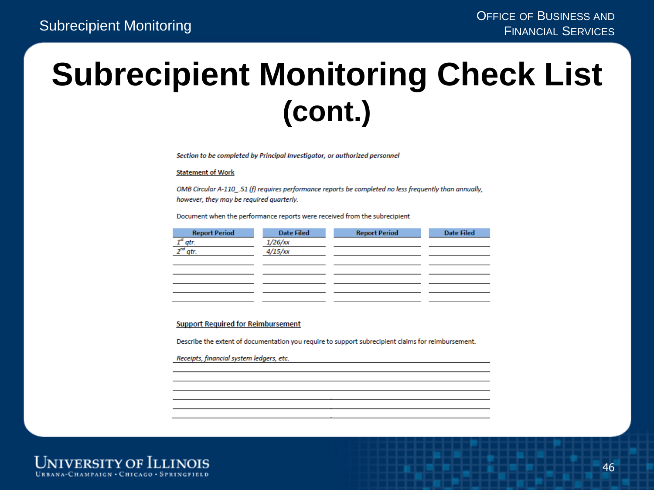#### **Subrecipient Monitoring Check List (cont.)**

Section to be completed by Principal Investigator, or authorized personnel

#### **Statement of Work**

OMB Circular A-110 .51 (f) requires performance reports be completed no less frequently than annually, however, they may be required quarterly.

Document when the performance reports were received from the subrecipient

| <b>Report Period</b>    | <b>Date Filed</b> | <b>Report Period</b> | <b>Date Filed</b> |
|-------------------------|-------------------|----------------------|-------------------|
| $\frac{1}{2^{nd}}$ atr. | $1/26$ /xx        |                      |                   |
|                         | 4/15/xx           |                      |                   |
|                         |                   |                      |                   |
|                         |                   |                      |                   |
|                         |                   |                      |                   |
|                         |                   |                      |                   |
|                         |                   |                      |                   |

#### **Support Required for Reimbursement**

Describe the extent of documentation you require to support subrecipient claims for reimbursement.

Receipts, financial system ledgers, etc.

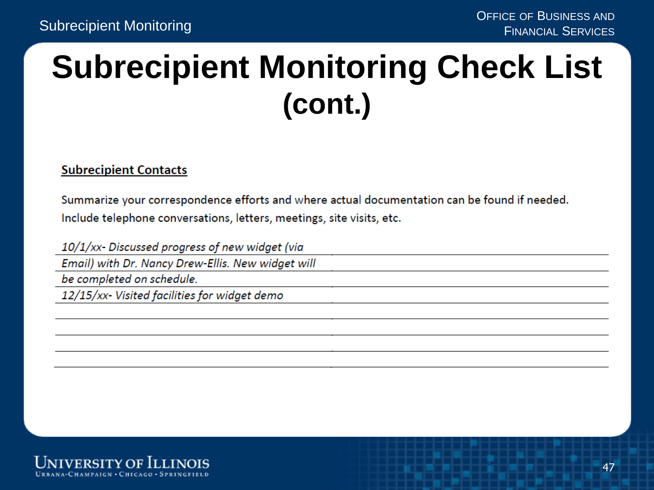#### **Subrecipient Monitoring Check List (cont.)**

#### **Subrecipient Contacts**

Summarize your correspondence efforts and where actual documentation can be found if needed. Include telephone conversations, letters, meetings, site visits, etc.

10/1/xx- Discussed progress of new widget (via

Email) with Dr. Nancy Drew-Ellis. New widget will

be completed on schedule.

12/15/xx- Visited facilities for widget demo

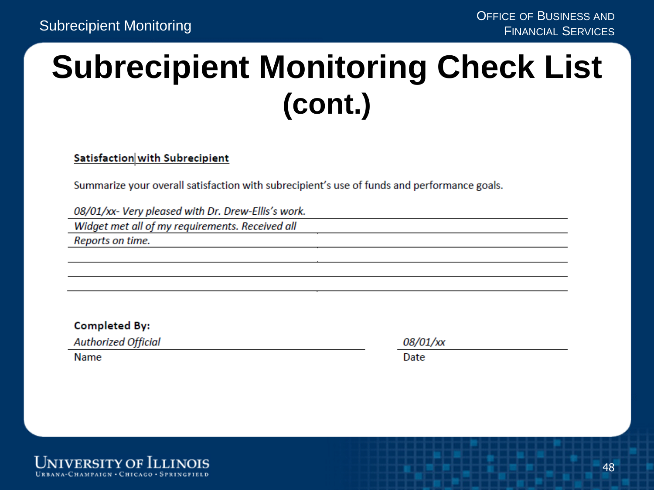#### **Subrecipient Monitoring Check List (cont.)**

#### Satisfaction with Subrecipient

Summarize your overall satisfaction with subrecipient's use of funds and performance goals.

08/01/xx- Very pleased with Dr. Drew-Ellis's work.

Widget met all of my requirements. Received all

Reports on time.

**Completed By:** 

**Authorized Official** 

**Name** 

08/01/xx

Date

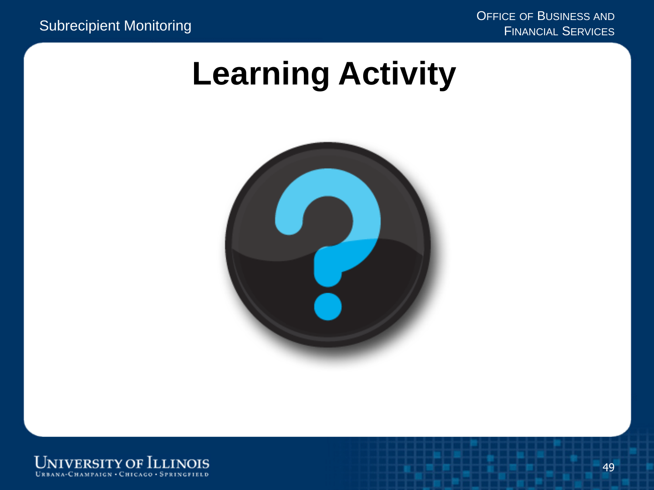OFFICE OF BUSINESS AND Subrecipient Monitoring FINANCIAL SERVICES

#### **Learning Activity**



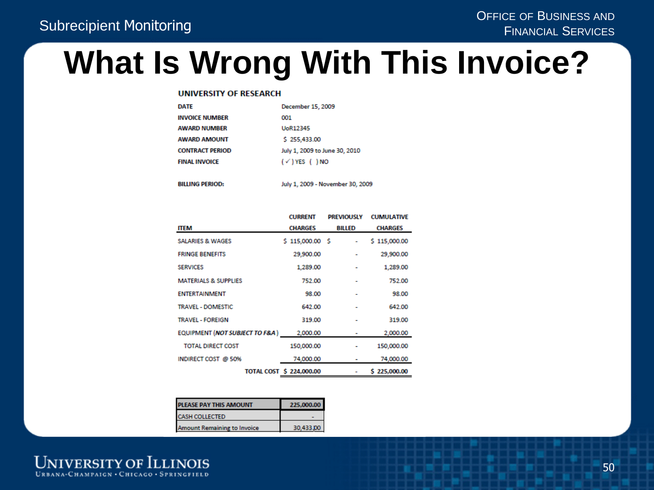#### **What Is Wrong With This Invoice?**

#### **UNIVERSITY OF RESEARCH**

| DATE                   | December 15, 2009             |
|------------------------|-------------------------------|
| <b>INVOICE NUMBER</b>  | 001                           |
| <b>AWARD NUMBER</b>    | <b>UoR12345</b>               |
| <b>AWARD AMOUNT</b>    | \$255,433.00                  |
| <b>CONTRACT PERIOD</b> | July 1, 2009 to June 30, 2010 |
| <b>FINAL INVOICE</b>   | $(\checkmark)$ YES ( ) NO     |
|                        |                               |
|                        |                               |

**BILLING PERIOD:** 

July 1, 2009 - November 30, 2009

|                                           | <b>CURRENT</b>           | <b>PREVIOUSLY</b> | <b>CUMULATIVE</b> |
|-------------------------------------------|--------------------------|-------------------|-------------------|
| <b>ITEM</b>                               | <b>CHARGES</b>           | <b>BILLED</b>     | <b>CHARGES</b>    |
| <b>SALARIES &amp; WAGES</b>               | $$115,000.00$$ \$        |                   | \$115,000.00      |
| <b>FRINGE BENEFITS</b>                    | 29,900.00                |                   | 29,900.00         |
| <b>SERVICES</b>                           | 1,289.00                 |                   | 1,289.00          |
| <b>MATERIALS &amp; SUPPLIES</b>           | 752.00                   |                   | 752.00            |
| <b>ENTERTAINMENT</b>                      | 98.00                    |                   | 98.00             |
| <b>TRAVEL - DOMESTIC</b>                  | 642.00                   |                   | 642.00            |
| <b>TRAVEL - FOREIGN</b>                   | 319.00                   |                   | 319.00            |
| <b>EQUIPMENT (NOT SUBJECT TO F&amp;A)</b> | 2,000.00                 |                   | 2,000.00          |
| <b>TOTAL DIRECT COST</b>                  | 150,000.00               |                   | 150,000.00        |
| INDIRECT COST @ 50%                       | 74,000.00                |                   | 74,000.00         |
|                                           | TOTAL COST \$ 224,000.00 |                   | \$225,000,00      |

| PLEASE PAY THIS AMOUNT             | 225,000,00 |
|------------------------------------|------------|
| <b>CASH COLLECTED</b>              |            |
| <b>Amount Remaining to Invoice</b> |            |

**UNIVERSITY OF ILLINOIS** URBANA-CHAMPAIGN · CHICAGO · SPRINGFIELD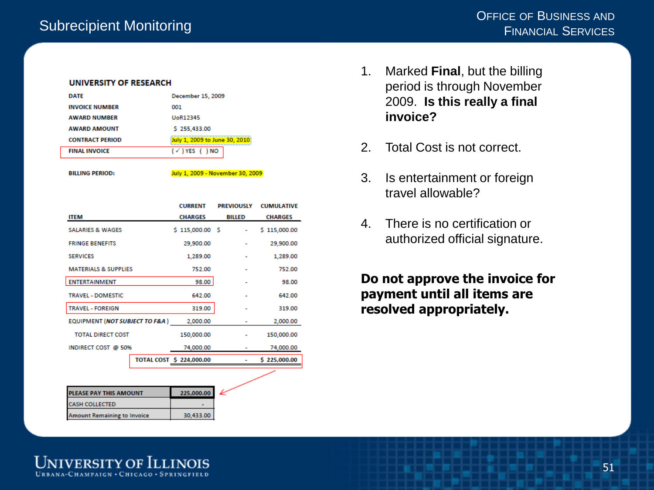#### **UNIVERSITY OF RESEARCH**

| <b>DATE</b>            | December 15, 2009             |
|------------------------|-------------------------------|
| <b>INVOICE NUMBER</b>  | 001                           |
| <b>AWARD NUMBER</b>    | UoR12345                      |
| <b>AWARD AMOUNT</b>    | \$255,433.00                  |
| <b>CONTRACT PERIOD</b> | July 1, 2009 to June 30, 2010 |
| <b>FINAL INVOICE</b>   | $(\checkmark)$ YES ( ) NO     |
|                        |                               |

**BILLING PERIOD:** 

July 1, 2009 - November 30, 2009

|                                           | <b>CURRENT</b>           | <b>PREVIOUSLY</b> | <b>CUMULATIVE</b> |
|-------------------------------------------|--------------------------|-------------------|-------------------|
| <b>ITEM</b>                               | <b>CHARGES</b>           | <b>BILLED</b>     | <b>CHARGES</b>    |
| <b>SALARIES &amp; WAGES</b>               | $$115,000.00$$ \$        |                   | \$115,000.00      |
| <b>FRINGE BENEFITS</b>                    | 29,900.00                |                   | 29,900.00         |
| <b>SERVICES</b>                           | 1,289.00                 |                   | 1,289.00          |
| <b>MATERIALS &amp; SUPPLIES</b>           | 752.00                   |                   | 752.00            |
| <b>ENTERTAINMENT</b>                      | 98.00                    |                   | 98.00             |
| <b>TRAVEL - DOMESTIC</b>                  | 642.00                   |                   | 642.00            |
| <b>TRAVEL - FOREIGN</b>                   | 319.00                   |                   | 319.00            |
| <b>EQUIPMENT (NOT SUBJECT TO F&amp;A)</b> | 2,000.00                 |                   | 2,000.00          |
| <b>TOTAL DIRECT COST</b>                  | 150,000.00               |                   | 150,000.00        |
| INDIRECT COST @ 50%                       | 74,000.00                |                   | 74,000.00         |
|                                           | TOTAL COST \$ 224,000.00 |                   | \$225,000.00      |
|                                           |                          |                   |                   |

| <b>PLEASE PAY THIS AMOUNT</b>      | 225.000.00 |  |
|------------------------------------|------------|--|
| <b>CASH COLLECTED</b>              |            |  |
| <b>Amount Remaining to Invoice</b> | 30.433.00  |  |

- 1. Marked **Final**, but the billing period is through November 2009. **Is this really a final invoice?**
- 2. Total Cost is not correct.
- 3. Is entertainment or foreign travel allowable?
- 4. There is no certification or authorized official signature.

**Do not approve the invoice for payment until all items are resolved appropriately.**

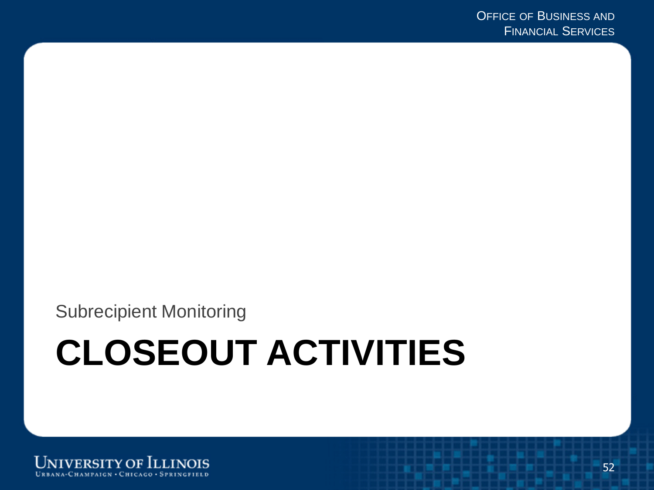Subrecipient Monitoring

# **CLOSEOUT ACTIVITIES**

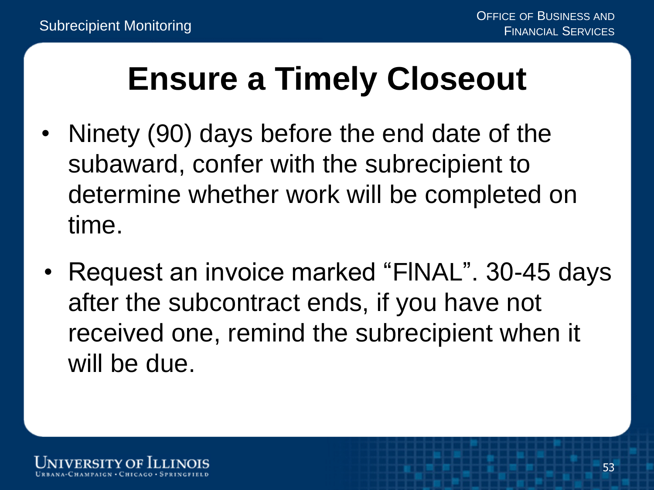#### **Ensure a Timely Closeout**

- Ninety (90) days before the end date of the subaward, confer with the subrecipient to determine whether work will be completed on time.
- Request an invoice marked "FlNAL". 30-45 days after the subcontract ends, if you have not received one, remind the subrecipient when it will be due.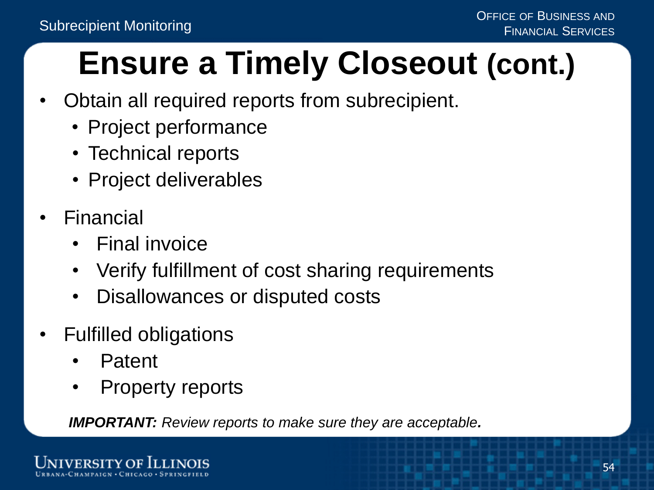### **Ensure a Timely Closeout (cont.)**

- Obtain all required reports from subrecipient.
	- Project performance
	- Technical reports
	- Project deliverables
- **Financial** 
	- Final invoice
	- Verify fulfillment of cost sharing requirements
	- Disallowances or disputed costs
- Fulfilled obligations
	- Patent
	- Property reports

*IMPORTANT: Review reports to make sure they are acceptable.*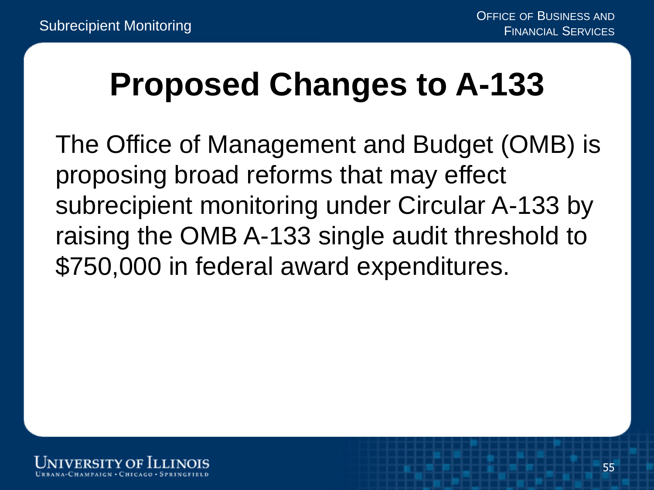#### **Proposed Changes to A-133**

The Office of Management and Budget (OMB) is proposing broad reforms that may effect subrecipient monitoring under Circular A-133 by raising the OMB A-133 single audit threshold to \$750,000 in federal award expenditures.

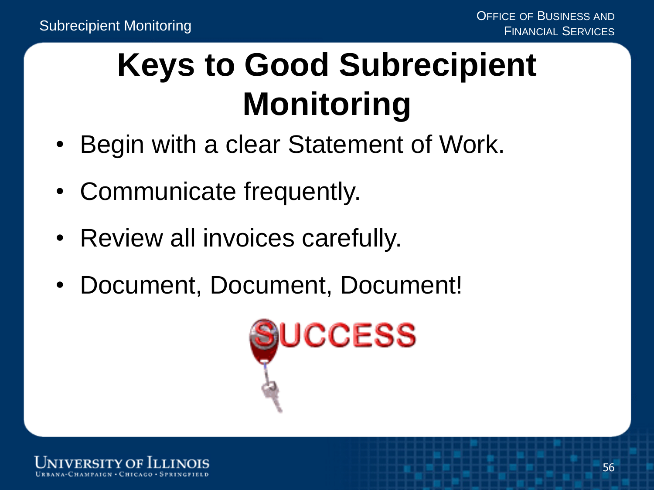### **Keys to Good Subrecipient Monitoring**

- Begin with a clear Statement of Work.
- Communicate frequently.
- Review all invoices carefully.
- Document, Document, Document!



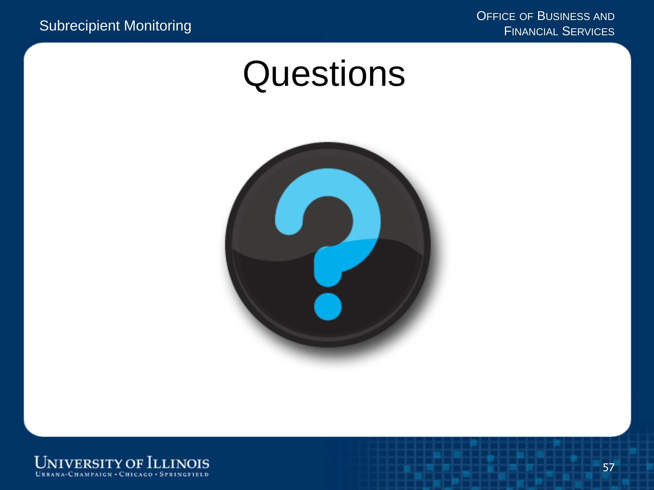#### **Questions**



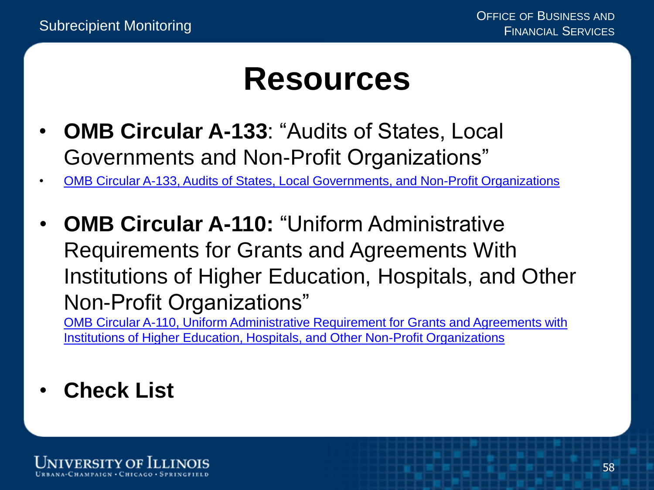#### **Resources**

- **OMB Circular A-133**: "Audits of States, Local Governments and Non-Profit Organizations"
- [OMB Circular A-133, Audits of States, Local Governments, and Non-Profit Organizations](https://obamawhitehouse.archives.gov/sites/default/files/omb/assets/a133/a133_revised_2007.pdf)
- **OMB Circular A-110:** "Uniform Administrative Requirements for Grants and Agreements With Institutions of Higher Education, Hospitals, and Other Non-Profit Organizations"

[OMB Circular A-110, Uniform Administrative Requirement for Grants and Agreements with](https://obamawhitehouse.archives.gov/omb/circulars_a110/) Institutions of Higher Education, Hospitals, and Other Non-Profit Organizations

• **Check List**